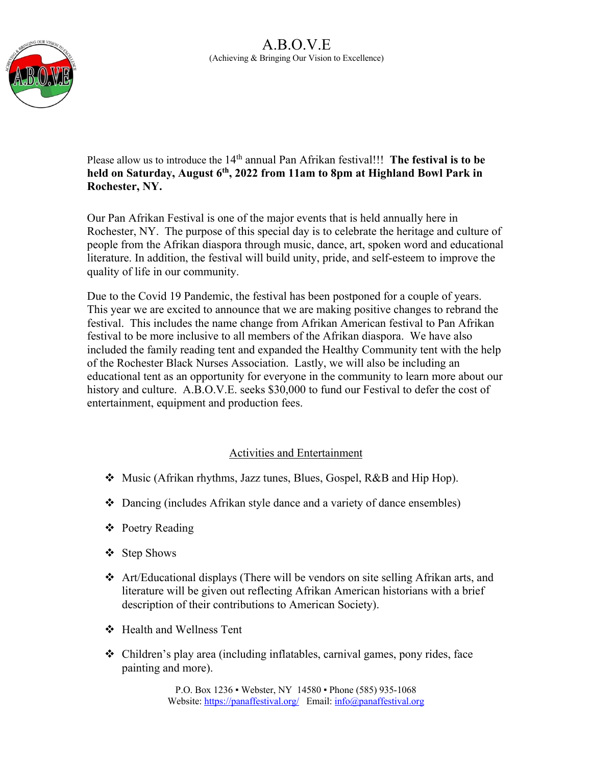

Please allow us to introduce the 14<sup>th</sup> annual Pan Afrikan festival!!! **The festival is to be held on Saturday, August 6th, 2022 from 11am to 8pm at Highland Bowl Park in Rochester, NY.** 

Our Pan Afrikan Festival is one of the major events that is held annually here in Rochester, NY. The purpose of this special day is to celebrate the heritage and culture of people from the Afrikan diaspora through music, dance, art, spoken word and educational literature. In addition, the festival will build unity, pride, and self-esteem to improve the quality of life in our community.

Due to the Covid 19 Pandemic, the festival has been postponed for a couple of years. This year we are excited to announce that we are making positive changes to rebrand the festival. This includes the name change from Afrikan American festival to Pan Afrikan festival to be more inclusive to all members of the Afrikan diaspora. We have also included the family reading tent and expanded the Healthy Community tent with the help of the Rochester Black Nurses Association. Lastly, we will also be including an educational tent as an opportunity for everyone in the community to learn more about our history and culture. A.B.O.V.E. seeks \$30,000 to fund our Festival to defer the cost of entertainment, equipment and production fees.

#### Activities and Entertainment

- v Music (Afrikan rhythms, Jazz tunes, Blues, Gospel, R&B and Hip Hop).
- $\triangle$  Dancing (includes Afrikan style dance and a variety of dance ensembles)
- ❖ Poetry Reading
- ❖ Step Shows
- $\triangleleft$  Art/Educational displays (There will be vendors on site selling Afrikan arts, and literature will be given out reflecting Afrikan American historians with a brief description of their contributions to American Society).
- v Health and Wellness Tent
- $\triangleleft$  Children's play area (including inflatables, carnival games, pony rides, face painting and more).

P.O. Box 1236 ▪ Webster, NY 14580 ▪ Phone (585) 935-1068 Website: https://panaffestival.org/ Email: info@panaffestival.org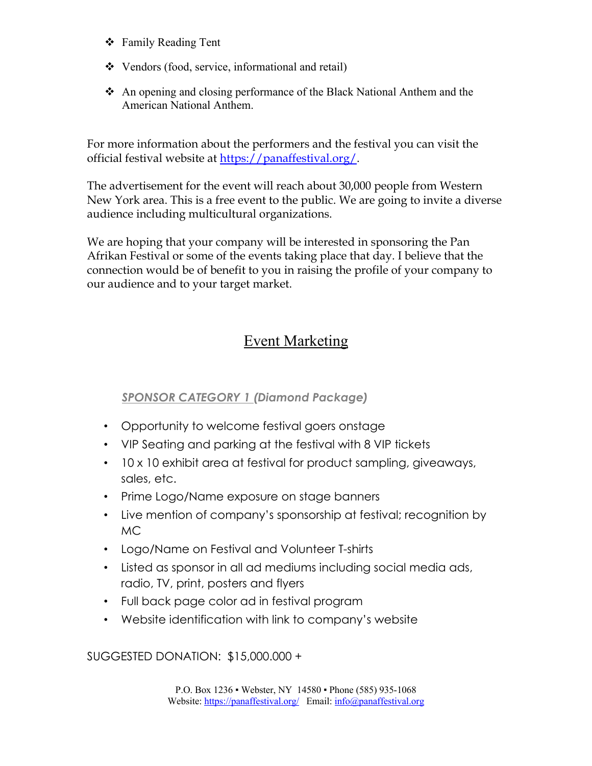- ❖ Family Reading Tent
- $\triangleleft$  Vendors (food, service, informational and retail)
- An opening and closing performance of the Black National Anthem and the American National Anthem.

For more information about the performers and the festival you can visit the official festival website at https://panaffestival.org/.

The advertisement for the event will reach about 30,000 people from Western New York area. This is a free event to the public. We are going to invite a diverse audience including multicultural organizations.

We are hoping that your company will be interested in sponsoring the Pan Afrikan Festival or some of the events taking place that day. I believe that the connection would be of benefit to you in raising the profile of your company to our audience and to your target market.

# Event Marketing

## *SPONSOR CATEGORY 1 (Diamond Package)*

- Opportunity to welcome festival goers onstage
- VIP Seating and parking at the festival with 8 VIP tickets
- 10 x 10 exhibit area at festival for product sampling, giveaways, sales, etc.
- Prime Logo/Name exposure on stage banners
- Live mention of company's sponsorship at festival; recognition by MC
- Logo/Name on Festival and Volunteer T-shirts
- Listed as sponsor in all ad mediums including social media ads, radio, TV, print, posters and flyers
- Full back page color ad in festival program
- Website identification with link to company's website

SUGGESTED DONATION: \$15,000.000 +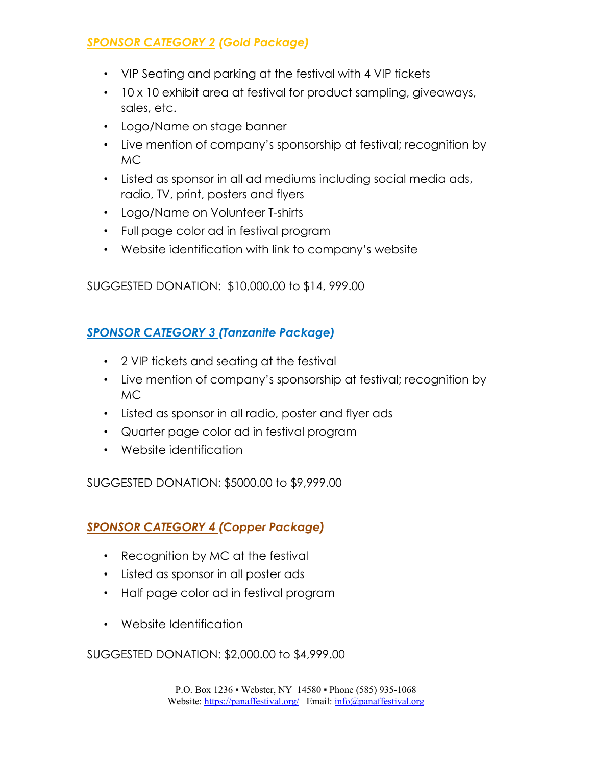# *SPONSOR CATEGORY 2 (Gold Package)*

- VIP Seating and parking at the festival with 4 VIP tickets
- 10 x 10 exhibit area at festival for product sampling, giveaways, sales, etc.
- Logo/Name on stage banner
- Live mention of company's sponsorship at festival; recognition by MC
- Listed as sponsor in all ad mediums including social media ads, radio, TV, print, posters and flyers
- Logo/Name on Volunteer T-shirts
- Full page color ad in festival program
- Website identification with link to company's website

SUGGESTED DONATION: \$10,000.00 to \$14, 999.00

## *SPONSOR CATEGORY 3 (Tanzanite Package)*

- 2 VIP tickets and seating at the festival
- Live mention of company's sponsorship at festival; recognition by MC
- Listed as sponsor in all radio, poster and flyer ads
- Quarter page color ad in festival program
- Website identification

SUGGESTED DONATION: \$5000.00 to \$9,999.00

## *SPONSOR CATEGORY 4 (Copper Package)*

- Recognition by MC at the festival
- Listed as sponsor in all poster ads
- Half page color ad in festival program
- Website Identification

SUGGESTED DONATION: \$2,000.00 to \$4,999.00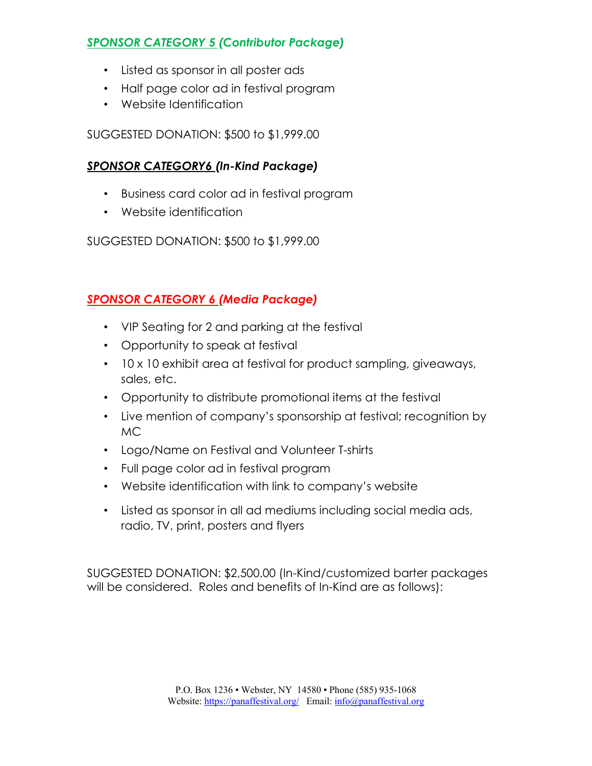# *SPONSOR CATEGORY 5 (Contributor Package)*

- Listed as sponsor in all poster ads
- Half page color ad in festival program
- Website Identification

SUGGESTED DONATION: \$500 to \$1,999.00

## *SPONSOR CATEGORY6 (In-Kind Package)*

- Business card color ad in festival program
- Website identification

SUGGESTED DONATION: \$500 to \$1,999.00

# *SPONSOR CATEGORY 6 (Media Package)*

- VIP Seating for 2 and parking at the festival
- Opportunity to speak at festival
- 10 x 10 exhibit area at festival for product sampling, giveaways, sales, etc.
- Opportunity to distribute promotional items at the festival
- Live mention of company's sponsorship at festival; recognition by MC
- Logo/Name on Festival and Volunteer T-shirts
- Full page color ad in festival program
- Website identification with link to company's website
- Listed as sponsor in all ad mediums including social media ads, radio, TV, print, posters and flyers

SUGGESTED DONATION: \$2,500.00 (In-Kind/customized barter packages will be considered. Roles and benefits of In-Kind are as follows):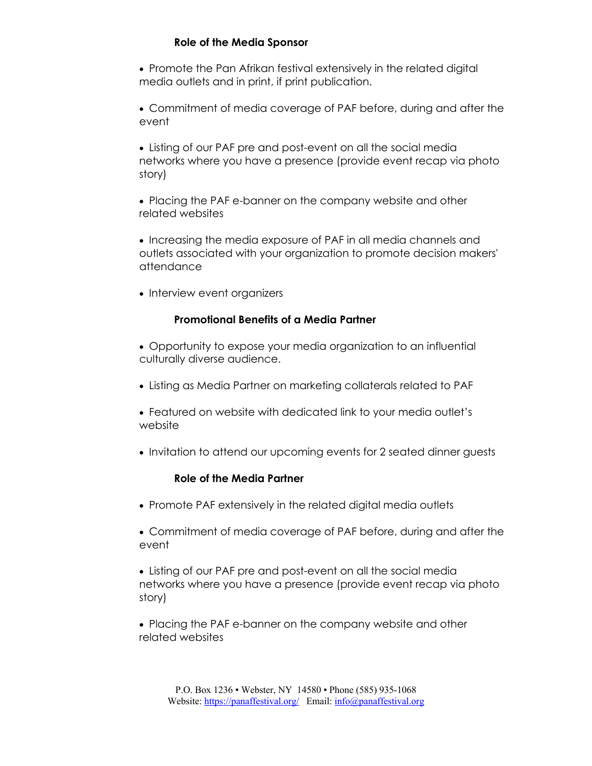#### **Role of the Media Sponsor**

- Promote the Pan Afrikan festival extensively in the related digital media outlets and in print, if print publication.
- Commitment of media coverage of PAF before, during and after the event
- Listing of our PAF pre and post-event on all the social media networks where you have a presence (provide event recap via photo story)
- Placing the PAF e-banner on the company website and other related websites
- Increasing the media exposure of PAF in all media channels and outlets associated with your organization to promote decision makers' attendance
- Interview event organizers

#### **Promotional Benefits of a Media Partner**

- Opportunity to expose your media organization to an influential culturally diverse audience.
- Listing as Media Partner on marketing collaterals related to PAF
- Featured on website with dedicated link to your media outlet's website
- Invitation to attend our upcoming events for 2 seated dinner guests

#### **Role of the Media Partner**

- Promote PAF extensively in the related digital media outlets
- Commitment of media coverage of PAF before, during and after the event
- Listing of our PAF pre and post-event on all the social media networks where you have a presence (provide event recap via photo story)
- Placing the PAF e-banner on the company website and other related websites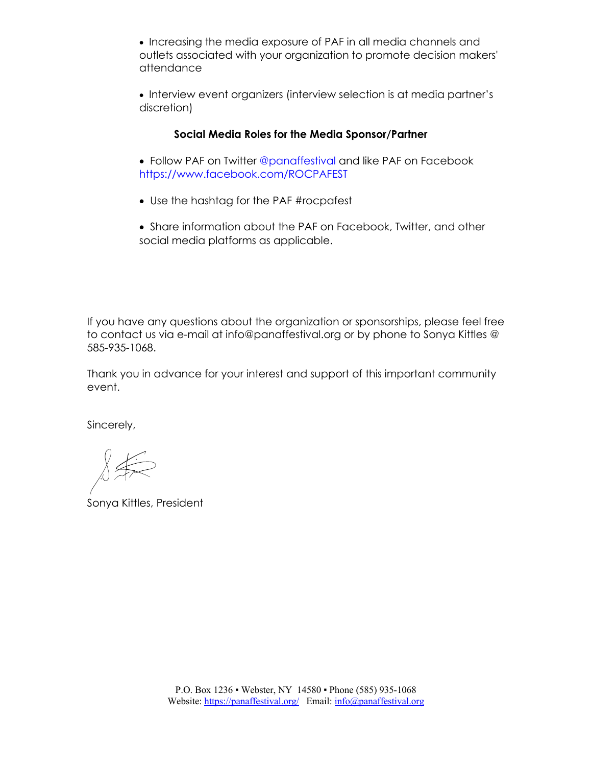• Increasing the media exposure of PAF in all media channels and outlets associated with your organization to promote decision makers' attendance

• Interview event organizers (interview selection is at media partner's discretion)

#### **Social Media Roles for the Media Sponsor/Partner**

- Follow PAF on Twitter @panaffestival and like PAF on Facebook https://www.facebook.com/ROCPAFEST
- Use the hashtag for the PAF #rocpafest
- Share information about the PAF on Facebook, Twitter, and other social media platforms as applicable.

If you have any questions about the organization or sponsorships, please feel free to contact us via e-mail at info@panaffestival.org or by phone to Sonya Kittles @ 585-935-1068.

Thank you in advance for your interest and support of this important community event.

Sincerely,

Sonya Kittles, President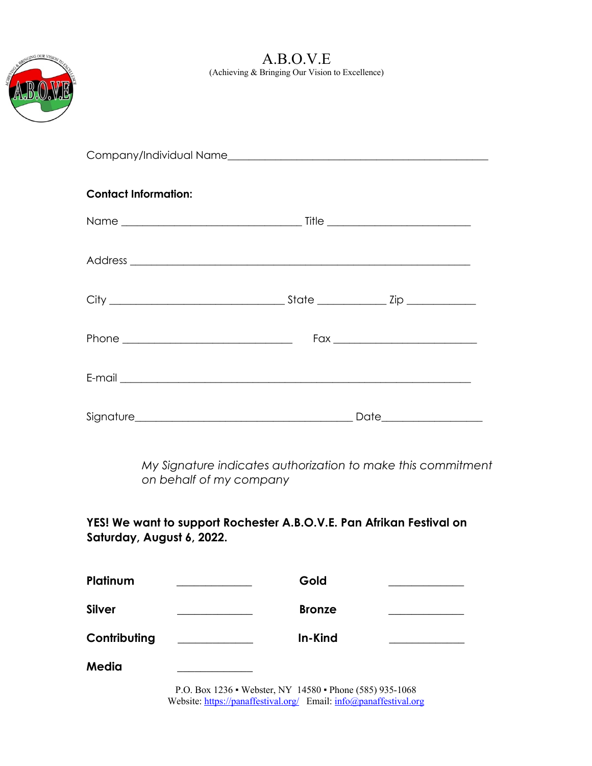

A.B.O.V.E (Achieving & Bringing Our Vision to Excellence)

| <b>Contact Information:</b> |  |
|-----------------------------|--|
|                             |  |
|                             |  |
|                             |  |
|                             |  |
|                             |  |
|                             |  |

*My Signature indicates authorization to make this commitment on behalf of my company* 

## **YES! We want to support Rochester A.B.O.V.E. Pan Afrikan Festival on Saturday, August 6, 2022.**

| Platinum     | Gold          |  |
|--------------|---------------|--|
| Silver       | <b>Bronze</b> |  |
| Contributing | In-Kind       |  |
| Media        |               |  |

P.O. Box 1236 ▪ Webster, NY 14580 ▪ Phone (585) 935-1068 Website: https://panaffestival.org/ Email: info@panaffestival.org